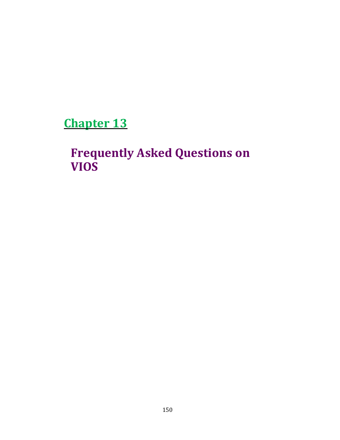Chapter 13

Frequently Asked Questions on VIOS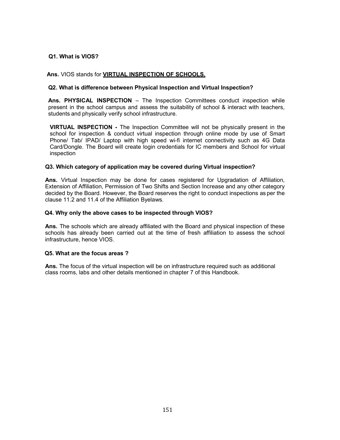# Q1. What is VIOS?

## Ans. VIOS stands for **VIRTUAL INSPECTION OF SCHOOLS.**

## Q2. What is difference between Physical Inspection and Virtual Inspection?

Ans. PHYSICAL INSPECTION - The Inspection Committees conduct inspection while present in the school campus and assess the suitability of school & interact with teachers, students and physically verify school infrastructure.

VIRTUAL INSPECTION - The Inspection Committee will not be physically present in the school for inspection & conduct virtual inspection through online mode by use of Smart Phone/ Tab/ IPAD/ Laptop with high speed wi-fi internet connectivity such as 4G Data Card/Dongle. The Board will create login credentials for IC members and School for virtual inspection

#### Q3. Which category of application may be covered during Virtual inspection?

Ans. Virtual Inspection may be done for cases registered for Upgradation of Affiliation, Extension of Affiliation, Permission of Two Shifts and Section Increase and any other category decided by the Board. However, the Board reserves the right to conduct inspections as per the clause 11.2 and 11.4 of the Affiliation Byelaws.

#### Q4. Why only the above cases to be inspected through VIOS?

Ans. The schools which are already affiliated with the Board and physical inspection of these schools has already been carried out at the time of fresh affiliation to assess the school infrastructure, hence VIOS.

# Q5. What are the focus areas ?

Ans. The focus of the virtual inspection will be on infrastructure required such as additional class rooms, labs and other details mentioned in chapter 7 of this Handbook.